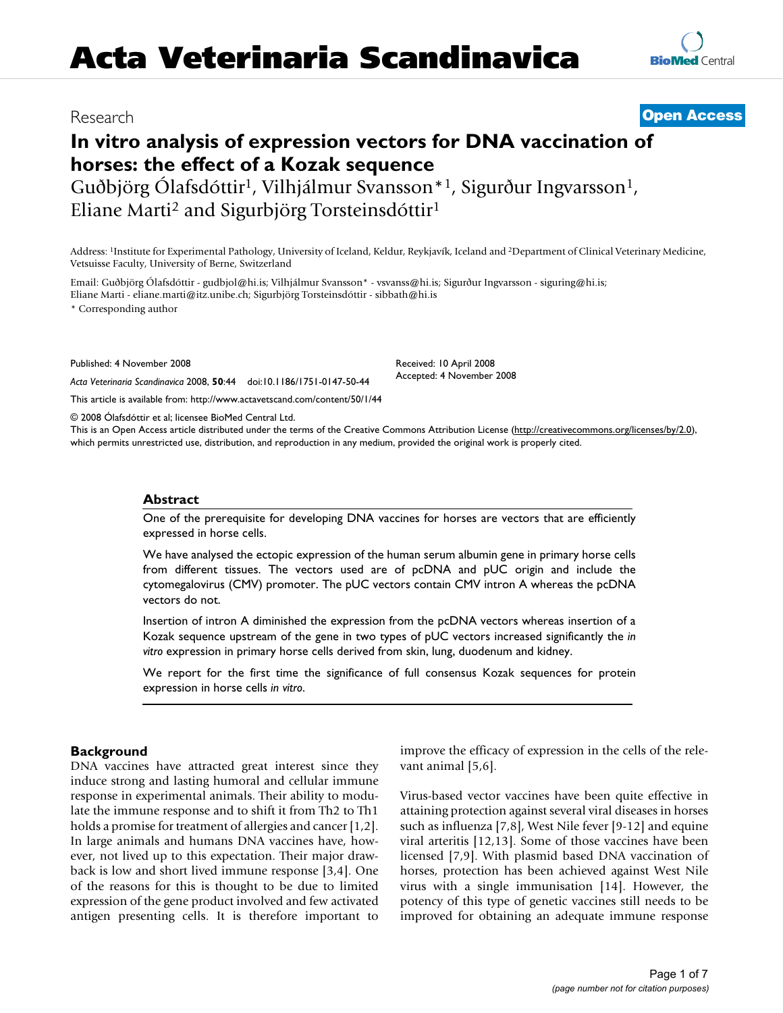## Research **[Open Access](http://www.biomedcentral.com/info/about/charter/)**

**[BioMed](http://www.biomedcentral.com/)** Central

# **In vitro analysis of expression vectors for DNA vaccination of horses: the effect of a Kozak sequence**

Guðbjörg Ólafsdóttir<sup>1</sup>, Vilhjálmur Svansson<sup>\*1</sup>, Sigurður Ingvarsson<sup>1</sup>, Eliane Marti2 and Sigurbjörg Torsteinsdóttir1

Address: 1Institute for Experimental Pathology, University of Iceland, Keldur, Reykjavík, Iceland and 2Department of Clinical Veterinary Medicine, Vetsuisse Faculty, University of Berne, Switzerland

Email: Guðbjörg Ólafsdóttir - gudbjol@hi.is; Vilhjálmur Svansson\* - vsvanss@hi.is; Sigurður Ingvarsson - siguring@hi.is; Eliane Marti - eliane.marti@itz.unibe.ch; Sigurbjörg Torsteinsdóttir - sibbath@hi.is

\* Corresponding author

Published: 4 November 2008

*Acta Veterinaria Scandinavica* 2008, **50**:44 doi:10.1186/1751-0147-50-44

[This article is available from: http://www.actavetscand.com/content/50/1/44](http://www.actavetscand.com/content/50/1/44)

© 2008 Ólafsdóttir et al; licensee BioMed Central Ltd.

This is an Open Access article distributed under the terms of the Creative Commons Attribution License [\(http://creativecommons.org/licenses/by/2.0\)](http://creativecommons.org/licenses/by/2.0), which permits unrestricted use, distribution, and reproduction in any medium, provided the original work is properly cited.

Received: 10 April 2008 Accepted: 4 November 2008

#### **Abstract**

One of the prerequisite for developing DNA vaccines for horses are vectors that are efficiently expressed in horse cells.

We have analysed the ectopic expression of the human serum albumin gene in primary horse cells from different tissues. The vectors used are of pcDNA and pUC origin and include the cytomegalovirus (CMV) promoter. The pUC vectors contain CMV intron A whereas the pcDNA vectors do not.

Insertion of intron A diminished the expression from the pcDNA vectors whereas insertion of a Kozak sequence upstream of the gene in two types of pUC vectors increased significantly the *in vitro* expression in primary horse cells derived from skin, lung, duodenum and kidney.

We report for the first time the significance of full consensus Kozak sequences for protein expression in horse cells *in vitro*.

#### **Background**

DNA vaccines have attracted great interest since they induce strong and lasting humoral and cellular immune response in experimental animals. Their ability to modulate the immune response and to shift it from Th2 to Th1 holds a promise for treatment of allergies and cancer [1,2]. In large animals and humans DNA vaccines have, however, not lived up to this expectation. Their major drawback is low and short lived immune response [3,4]. One of the reasons for this is thought to be due to limited expression of the gene product involved and few activated antigen presenting cells. It is therefore important to improve the efficacy of expression in the cells of the relevant animal [5,6].

Virus-based vector vaccines have been quite effective in attaining protection against several viral diseases in horses such as influenza [7,8], West Nile fever [9-12] and equine viral arteritis [12,13]. Some of those vaccines have been licensed [7,9]. With plasmid based DNA vaccination of horses, protection has been achieved against West Nile virus with a single immunisation [14]. However, the potency of this type of genetic vaccines still needs to be improved for obtaining an adequate immune response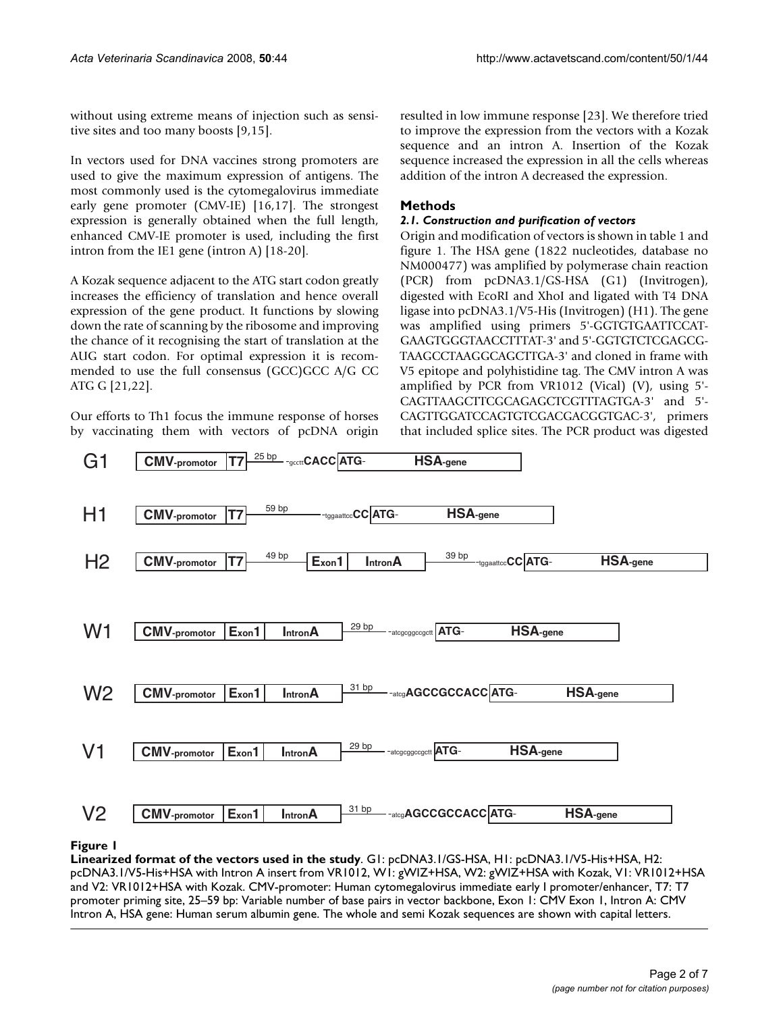without using extreme means of injection such as sensitive sites and too many boosts [9,15].

In vectors used for DNA vaccines strong promoters are used to give the maximum expression of antigens. The most commonly used is the cytomegalovirus immediate early gene promoter (CMV-IE) [16,17]. The strongest expression is generally obtained when the full length, enhanced CMV-IE promoter is used, including the first intron from the IE1 gene (intron A) [18-20].

A Kozak sequence adjacent to the ATG start codon greatly increases the efficiency of translation and hence overall expression of the gene product. It functions by slowing down the rate of scanning by the ribosome and improving the chance of it recognising the start of translation at the AUG start codon. For optimal expression it is recommended to use the full consensus (GCC)GCC A/G CC ATG G [21,22].

Our efforts to Th1 focus the immune response of horses by vaccinating them with vectors of pcDNA origin resulted in low immune response [23]. We therefore tried to improve the expression from the vectors with a Kozak sequence and an intron A. Insertion of the Kozak sequence increased the expression in all the cells whereas addition of the intron A decreased the expression.

### **Methods**

#### *2.1. Construction and purification of vectors*

Origin and modification of vectors is shown in table 1 and figure 1. The HSA gene (1822 nucleotides, database no NM000477) was amplified by polymerase chain reaction (PCR) from pcDNA3.1/GS-HSA (G1) (Invitrogen), digested with EcoRI and XhoI and ligated with T4 DNA ligase into pcDNA3.1/V5-His (Invitrogen) (H1). The gene was amplified using primers 5'-GGTGTGAATTCCAT-GAAGTGGGTAACCTTTAT-3' and 5'-GGTGTCTCGAGCG-TAAGCCTAAGGCAGCTTGA-3' and cloned in frame with V5 epitope and polyhistidine tag. The CMV intron A was amplified by PCR from VR1012 (Vical) (V), using 5'- CAGTTAAGCTTCGCAGAGCTCGTTTAGTGA-3' and 5'- CAGTTGGATCCAGTGTCGACGACGGTGAC-3', primers that included splice sites. The PCR product was digested



#### **Figure 1**

**Linearized format of the vectors used in the study**. G1: pcDNA3.1/GS-HSA, H1: pcDNA3.1/V5-His+HSA, H2: pcDNA3.1/V5-His+HSA with Intron A insert from VR1012, W1: gWIZ+HSA, W2: gWIZ+HSA with Kozak, V1: VR1012+HSA and V2: VR1012+HSA with Kozak. CMV-promoter: Human cytomegalovirus immediate early I promoter/enhancer, T7: T7 promoter priming site, 25–59 bp: Variable number of base pairs in vector backbone, Exon 1: CMV Exon 1, Intron A: CMV Intron A, HSA gene: Human serum albumin gene. The whole and semi Kozak sequences are shown with capital letters.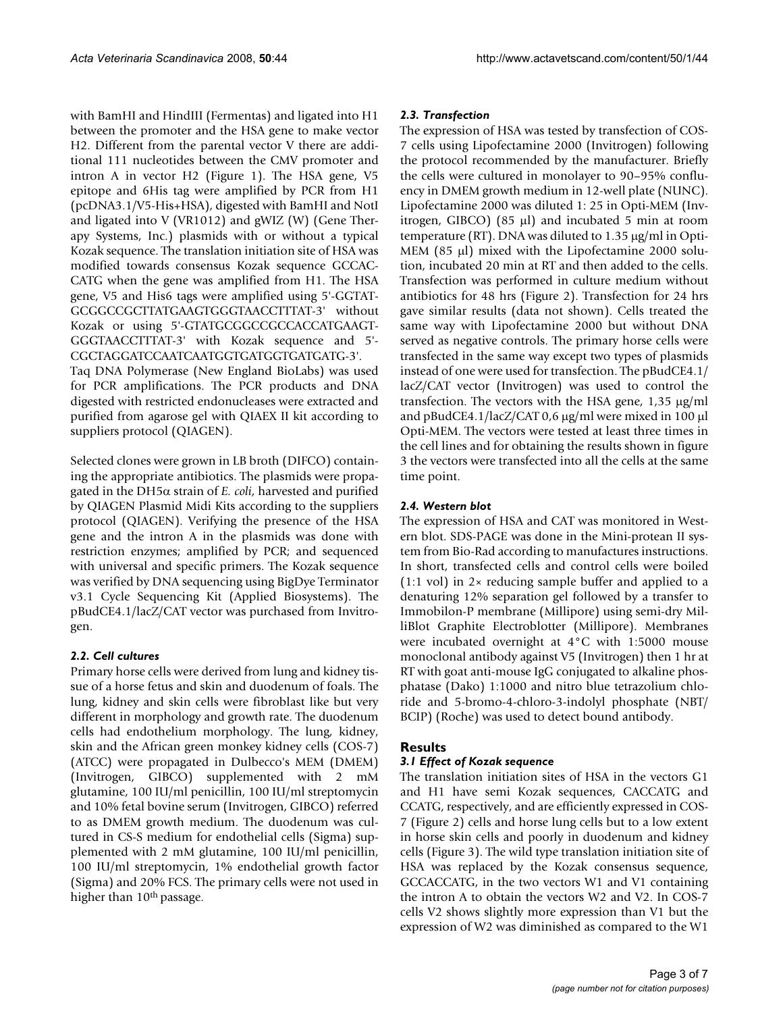with BamHI and HindIII (Fermentas) and ligated into H1 between the promoter and the HSA gene to make vector H2. Different from the parental vector V there are additional 111 nucleotides between the CMV promoter and intron A in vector H2 (Figure 1). The HSA gene, V5 epitope and 6His tag were amplified by PCR from H1 (pcDNA3.1/V5-His+HSA), digested with BamHI and NotI and ligated into V (VR1012) and gWIZ (W) (Gene Therapy Systems, Inc.) plasmids with or without a typical Kozak sequence. The translation initiation site of HSA was modified towards consensus Kozak sequence GCCAC-CATG when the gene was amplified from H1. The HSA gene, V5 and His6 tags were amplified using 5'-GGTAT-GCGGCCGCTTATGAAGTGGGTAACCTTTAT-3' without Kozak or using 5'-GTATGCGGCCGCCACCATGAAGT-GGGTAACCTTTAT-3' with Kozak sequence and 5'- CGCTAGGATCCAATCAATGGTGATGGTGATGATG-3'. Taq DNA Polymerase (New England BioLabs) was used for PCR amplifications. The PCR products and DNA digested with restricted endonucleases were extracted and purified from agarose gel with QIAEX II kit according to suppliers protocol (QIAGEN).

Selected clones were grown in LB broth (DIFCO) containing the appropriate antibiotics. The plasmids were propagated in the DH5α strain of *E. coli*, harvested and purified by QIAGEN Plasmid Midi Kits according to the suppliers protocol (QIAGEN). Verifying the presence of the HSA gene and the intron A in the plasmids was done with restriction enzymes; amplified by PCR; and sequenced with universal and specific primers. The Kozak sequence was verified by DNA sequencing using BigDye Terminator v3.1 Cycle Sequencing Kit (Applied Biosystems). The pBudCE4.1/lacZ/CAT vector was purchased from Invitrogen.

#### *2.2. Cell cultures*

Primary horse cells were derived from lung and kidney tissue of a horse fetus and skin and duodenum of foals. The lung, kidney and skin cells were fibroblast like but very different in morphology and growth rate. The duodenum cells had endothelium morphology. The lung, kidney, skin and the African green monkey kidney cells (COS-7) (ATCC) were propagated in Dulbecco's MEM (DMEM) (Invitrogen, GIBCO) supplemented with 2 mM glutamine, 100 IU/ml penicillin, 100 IU/ml streptomycin and 10% fetal bovine serum (Invitrogen, GIBCO) referred to as DMEM growth medium. The duodenum was cultured in CS-S medium for endothelial cells (Sigma) supplemented with 2 mM glutamine, 100 IU/ml penicillin, 100 IU/ml streptomycin, 1% endothelial growth factor (Sigma) and 20% FCS. The primary cells were not used in higher than 10<sup>th</sup> passage.

#### *2.3. Transfection*

The expression of HSA was tested by transfection of COS-7 cells using Lipofectamine 2000 (Invitrogen) following the protocol recommended by the manufacturer. Briefly the cells were cultured in monolayer to 90–95% confluency in DMEM growth medium in 12-well plate (NUNC). Lipofectamine 2000 was diluted 1: 25 in Opti-MEM (Invitrogen, GIBCO) (85 μl) and incubated 5 min at room temperature (RT). DNA was diluted to 1.35 μg/ml in Opti-MEM (85 μl) mixed with the Lipofectamine 2000 solution, incubated 20 min at RT and then added to the cells. Transfection was performed in culture medium without antibiotics for 48 hrs (Figure 2). Transfection for 24 hrs gave similar results (data not shown). Cells treated the same way with Lipofectamine 2000 but without DNA served as negative controls. The primary horse cells were transfected in the same way except two types of plasmids instead of one were used for transfection. The pBudCE4.1/ lacZ/CAT vector (Invitrogen) was used to control the transfection. The vectors with the HSA gene, 1,35 μg/ml and pBudCE4.1/lacZ/CAT 0,6 μg/ml were mixed in 100 μl Opti-MEM. The vectors were tested at least three times in the cell lines and for obtaining the results shown in figure 3 the vectors were transfected into all the cells at the same time point.

#### *2.4. Western blot*

The expression of HSA and CAT was monitored in Western blot. SDS-PAGE was done in the Mini-protean II system from Bio-Rad according to manufactures instructions. In short, transfected cells and control cells were boiled (1:1 vol) in 2× reducing sample buffer and applied to a denaturing 12% separation gel followed by a transfer to Immobilon-P membrane (Millipore) using semi-dry MilliBlot Graphite Electroblotter (Millipore). Membranes were incubated overnight at 4°C with 1:5000 mouse monoclonal antibody against V5 (Invitrogen) then 1 hr at RT with goat anti-mouse IgG conjugated to alkaline phosphatase (Dako) 1:1000 and nitro blue tetrazolium chloride and 5-bromo-4-chloro-3-indolyl phosphate (NBT/ BCIP) (Roche) was used to detect bound antibody.

#### **Results**

#### *3.1 Effect of Kozak sequence*

The translation initiation sites of HSA in the vectors G1 and H1 have semi Kozak sequences, CACCATG and CCATG, respectively, and are efficiently expressed in COS-7 (Figure 2) cells and horse lung cells but to a low extent in horse skin cells and poorly in duodenum and kidney cells (Figure 3). The wild type translation initiation site of HSA was replaced by the Kozak consensus sequence, GCCACCATG, in the two vectors W1 and V1 containing the intron A to obtain the vectors W2 and V2. In COS-7 cells V2 shows slightly more expression than V1 but the expression of W2 was diminished as compared to the W1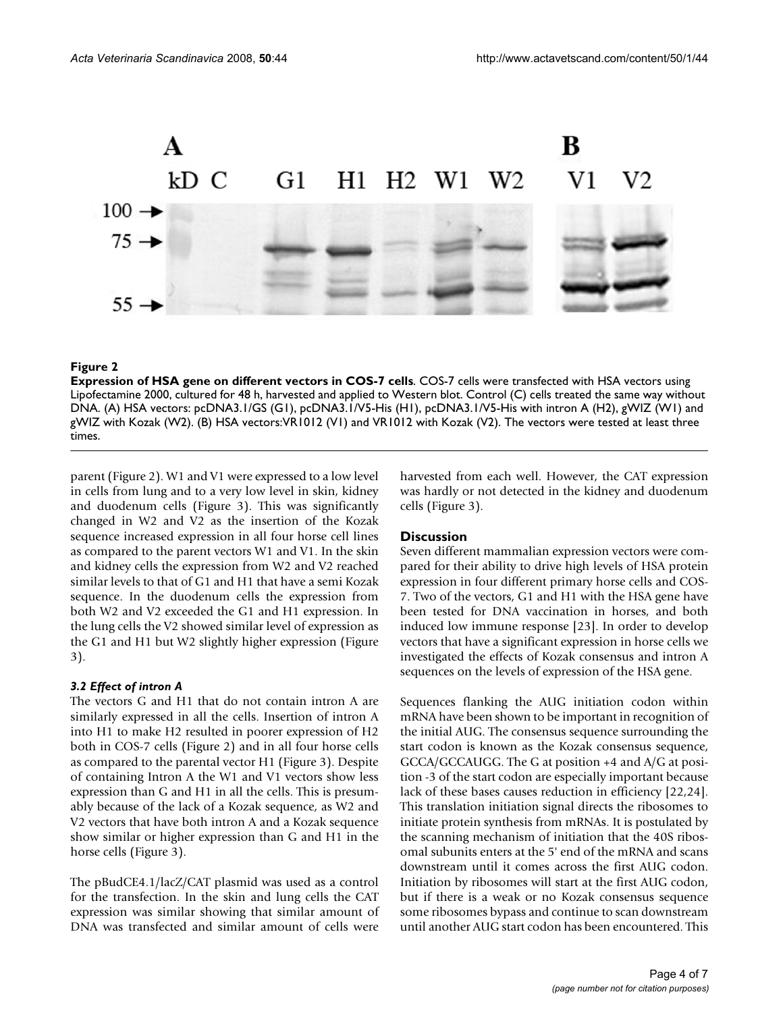

#### **Figure 2**

**Expression of HSA gene on different vectors in COS-7 cells**. COS-7 cells were transfected with HSA vectors using Lipofectamine 2000, cultured for 48 h, harvested and applied to Western blot. Control (C) cells treated the same way without DNA. (A) HSA vectors: pcDNA3.1/GS (G1), pcDNA3.1/V5-His (H1), pcDNA3.1/V5-His with intron A (H2), gWIZ (W1) and gWIZ with Kozak (W2). (B) HSA vectors:VR1012 (V1) and VR1012 with Kozak (V2). The vectors were tested at least three times.

parent (Figure 2). W1 and V1 were expressed to a low level in cells from lung and to a very low level in skin, kidney and duodenum cells (Figure 3). This was significantly changed in W2 and V2 as the insertion of the Kozak sequence increased expression in all four horse cell lines as compared to the parent vectors W1 and V1. In the skin and kidney cells the expression from W2 and V2 reached similar levels to that of G1 and H1 that have a semi Kozak sequence. In the duodenum cells the expression from both W2 and V2 exceeded the G1 and H1 expression. In the lung cells the V2 showed similar level of expression as the G1 and H1 but W2 slightly higher expression (Figure 3).

#### *3.2 Effect of intron A*

The vectors G and H1 that do not contain intron A are similarly expressed in all the cells. Insertion of intron A into H1 to make H2 resulted in poorer expression of H2 both in COS-7 cells (Figure 2) and in all four horse cells as compared to the parental vector H1 (Figure 3). Despite of containing Intron A the W1 and V1 vectors show less expression than G and H1 in all the cells. This is presumably because of the lack of a Kozak sequence, as W2 and V2 vectors that have both intron A and a Kozak sequence show similar or higher expression than G and H1 in the horse cells (Figure 3).

The pBudCE4.1/lacZ/CAT plasmid was used as a control for the transfection. In the skin and lung cells the CAT expression was similar showing that similar amount of DNA was transfected and similar amount of cells were harvested from each well. However, the CAT expression was hardly or not detected in the kidney and duodenum cells (Figure 3).

#### **Discussion**

Seven different mammalian expression vectors were compared for their ability to drive high levels of HSA protein expression in four different primary horse cells and COS-7. Two of the vectors, G1 and H1 with the HSA gene have been tested for DNA vaccination in horses, and both induced low immune response [23]. In order to develop vectors that have a significant expression in horse cells we investigated the effects of Kozak consensus and intron A sequences on the levels of expression of the HSA gene.

Sequences flanking the AUG initiation codon within mRNA have been shown to be important in recognition of the initial AUG. The consensus sequence surrounding the start codon is known as the Kozak consensus sequence, GCCA/GCCAUGG. The G at position +4 and A/G at position -3 of the start codon are especially important because lack of these bases causes reduction in efficiency [22,24]. This translation initiation signal directs the ribosomes to initiate protein synthesis from mRNAs. It is postulated by the scanning mechanism of initiation that the 40S ribosomal subunits enters at the 5' end of the mRNA and scans downstream until it comes across the first AUG codon. Initiation by ribosomes will start at the first AUG codon, but if there is a weak or no Kozak consensus sequence some ribosomes bypass and continue to scan downstream until another AUG start codon has been encountered. This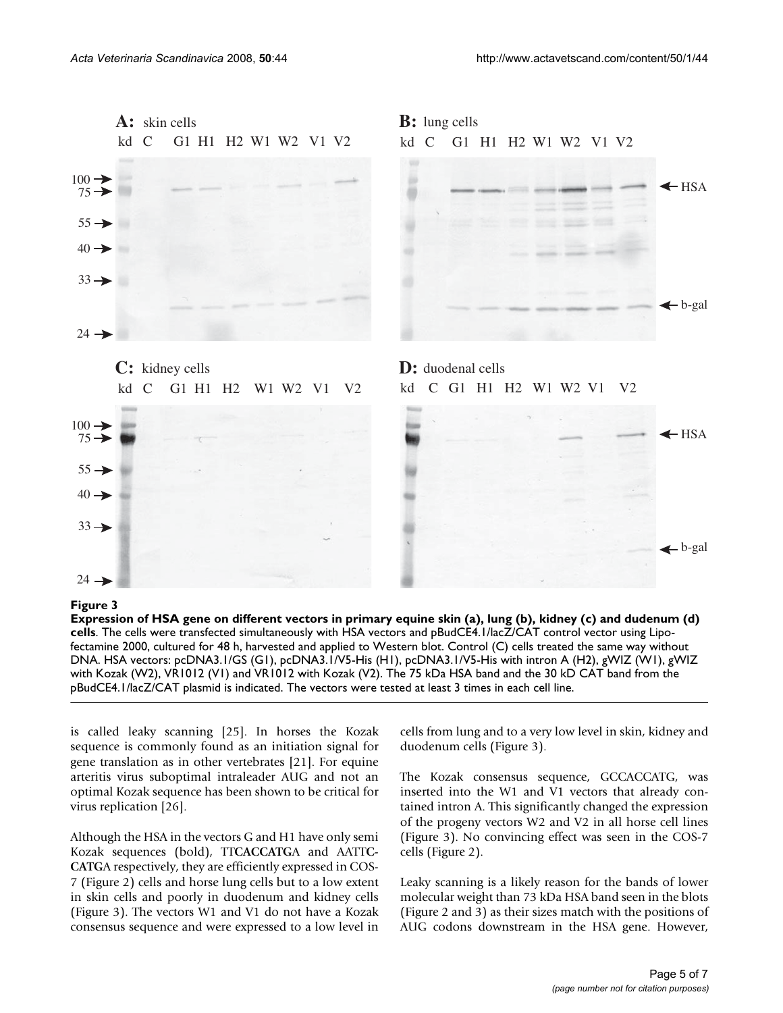

#### Expression of HSA gene on different ve **Figure 3** ctors in primary equine skin (a), lung (b), kidney (c) and dudenum (d) cells

**Expression of HSA gene on different vectors in primary equine skin (a), lung (b), kidney (c) and dudenum (d) cells**. The cells were transfected simultaneously with HSA vectors and pBudCE4.1/lacZ/CAT control vector using Lipofectamine 2000, cultured for 48 h, harvested and applied to Western blot. Control (C) cells treated the same way without DNA. HSA vectors: pcDNA3.1/GS (G1), pcDNA3.1/V5-His (H1), pcDNA3.1/V5-His with intron A (H2), gWIZ (W1), gWIZ with Kozak (W2), VR1012 (V1) and VR1012 with Kozak (V2). The 75 kDa HSA band and the 30 kD CAT band from the pBudCE4.1/lacZ/CAT plasmid is indicated. The vectors were tested at least 3 times in each cell line.

is called leaky scanning [25]. In horses the Kozak sequence is commonly found as an initiation signal for gene translation as in other vertebrates [21]. For equine arteritis virus suboptimal intraleader AUG and not an optimal Kozak sequence has been shown to be critical for virus replication [26].

Although the HSA in the vectors G and H1 have only semi Kozak sequences (bold), TT**CACCATG**A and AATT**C-CATG**A respectively, they are efficiently expressed in COS-7 (Figure 2) cells and horse lung cells but to a low extent in skin cells and poorly in duodenum and kidney cells (Figure 3). The vectors W1 and V1 do not have a Kozak consensus sequence and were expressed to a low level in cells from lung and to a very low level in skin, kidney and duodenum cells (Figure 3).

The Kozak consensus sequence, GCCACCATG, was inserted into the W1 and V1 vectors that already contained intron A. This significantly changed the expression of the progeny vectors W2 and V2 in all horse cell lines (Figure 3). No convincing effect was seen in the COS-7 cells (Figure 2).

Leaky scanning is a likely reason for the bands of lower molecular weight than 73 kDa HSA band seen in the blots (Figure 2 and 3) as their sizes match with the positions of AUG codons downstream in the HSA gene. However,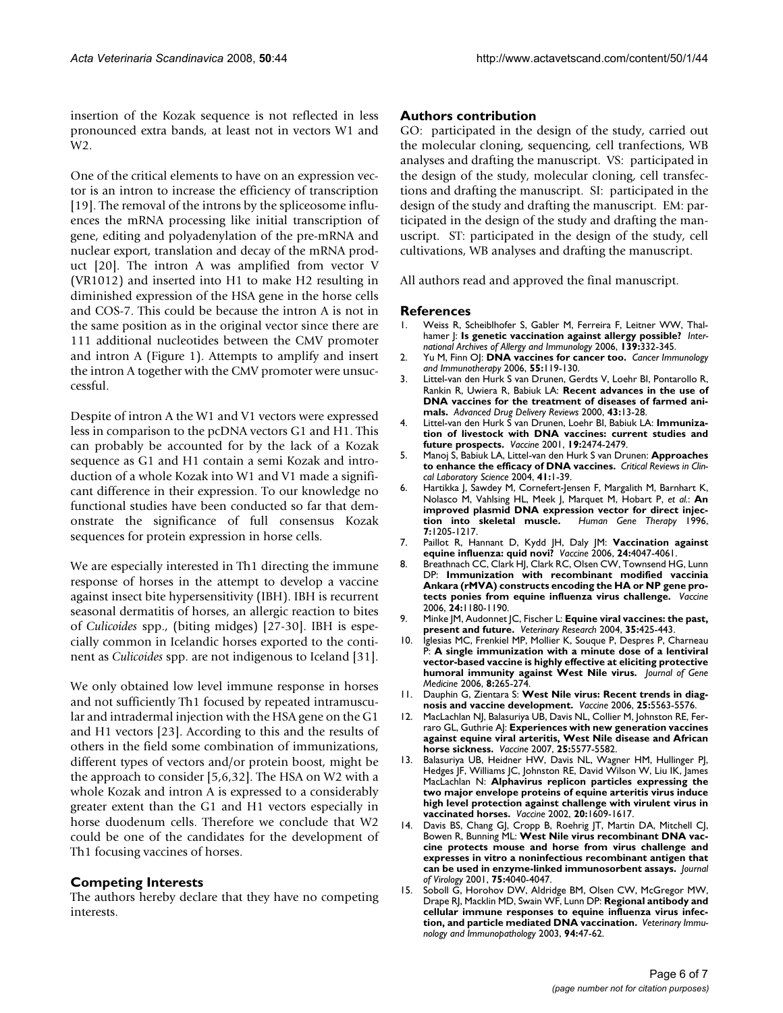insertion of the Kozak sequence is not reflected in less pronounced extra bands, at least not in vectors W1 and W<sub>2</sub>

One of the critical elements to have on an expression vector is an intron to increase the efficiency of transcription [19]. The removal of the introns by the spliceosome influences the mRNA processing like initial transcription of gene, editing and polyadenylation of the pre-mRNA and nuclear export, translation and decay of the mRNA product [20]. The intron A was amplified from vector V (VR1012) and inserted into H1 to make H2 resulting in diminished expression of the HSA gene in the horse cells and COS-7. This could be because the intron A is not in the same position as in the original vector since there are 111 additional nucleotides between the CMV promoter and intron A (Figure 1). Attempts to amplify and insert the intron A together with the CMV promoter were unsuccessful.

Despite of intron A the W1 and V1 vectors were expressed less in comparison to the pcDNA vectors G1 and H1. This can probably be accounted for by the lack of a Kozak sequence as G1 and H1 contain a semi Kozak and introduction of a whole Kozak into W1 and V1 made a significant difference in their expression. To our knowledge no functional studies have been conducted so far that demonstrate the significance of full consensus Kozak sequences for protein expression in horse cells.

We are especially interested in Th1 directing the immune response of horses in the attempt to develop a vaccine against insect bite hypersensitivity (IBH). IBH is recurrent seasonal dermatitis of horses, an allergic reaction to bites of *Culicoides* spp., (biting midges) [27-30]. IBH is especially common in Icelandic horses exported to the continent as *Culicoides* spp. are not indigenous to Iceland [31].

We only obtained low level immune response in horses and not sufficiently Th1 focused by repeated intramuscular and intradermal injection with the HSA gene on the G1 and H1 vectors [23]. According to this and the results of others in the field some combination of immunizations, different types of vectors and/or protein boost, might be the approach to consider [5,6,32]. The HSA on W2 with a whole Kozak and intron A is expressed to a considerably greater extent than the G1 and H1 vectors especially in horse duodenum cells. Therefore we conclude that W2 could be one of the candidates for the development of Th1 focusing vaccines of horses.

#### **Competing Interests**

The authors hereby declare that they have no competing interests.

#### **Authors contribution**

GO: participated in the design of the study, carried out the molecular cloning, sequencing, cell tranfections, WB analyses and drafting the manuscript. VS: participated in the design of the study, molecular cloning, cell transfections and drafting the manuscript. SI: participated in the design of the study and drafting the manuscript. EM: participated in the design of the study and drafting the manuscript. ST: participated in the design of the study, cell cultivations, WB analyses and drafting the manuscript.

All authors read and approved the final manuscript.

#### **References**

- 1. Weiss R, Scheiblhofer S, Gabler M, Ferreira F, Leitner WW, Thalhamer J: **Is genetic vaccination against allergy possible?** *International Archives of Allergy and Immunology* 2006, **139:**332-345.
- 2. Yu M, Finn OJ: **DNA vaccines for cancer too.** *Cancer Immunology and Immunotherapy* 2006, **55:**119-130.
- 3. Littel-van den Hurk S van Drunen, Gerdts V, Loehr BI, Pontarollo R, Rankin R, Uwiera R, Babiuk LA: **[Recent advances in the use of](http://www.ncbi.nlm.nih.gov/entrez/query.fcgi?cmd=Retrieve&db=PubMed&dopt=Abstract&list_uids=10967218) [DNA vaccines for the treatment of diseases of farmed ani](http://www.ncbi.nlm.nih.gov/entrez/query.fcgi?cmd=Retrieve&db=PubMed&dopt=Abstract&list_uids=10967218)[mals.](http://www.ncbi.nlm.nih.gov/entrez/query.fcgi?cmd=Retrieve&db=PubMed&dopt=Abstract&list_uids=10967218)** *Advanced Drug Delivery Reviews* 2000, **43:**13-28.
- 4. Littel-van den Hurk S van Drunen, Loehr BI, Babiuk LA: **[Immuniza](http://www.ncbi.nlm.nih.gov/entrez/query.fcgi?cmd=Retrieve&db=PubMed&dopt=Abstract&list_uids=11257380)[tion of livestock with DNA vaccines: current studies and](http://www.ncbi.nlm.nih.gov/entrez/query.fcgi?cmd=Retrieve&db=PubMed&dopt=Abstract&list_uids=11257380) [future prospects.](http://www.ncbi.nlm.nih.gov/entrez/query.fcgi?cmd=Retrieve&db=PubMed&dopt=Abstract&list_uids=11257380)** *Vaccine* 2001, **19:**2474-2479.
- 5. Manoj S, Babiuk LA, Littel-van den Hurk S van Drunen: **Approaches to enhance the efficacy of DNA vaccines.** *Critical Reviews in Clincal Laboratory Science* 2004, **41:**1-39.
- Hartikka J, Sawdey M, Cornefert-Jensen F, Margalith M, Barnhart K, Nolasco M, Vahlsing HL, Meek J, Marquet M, Hobart P, *et al.*: **[An](http://www.ncbi.nlm.nih.gov/entrez/query.fcgi?cmd=Retrieve&db=PubMed&dopt=Abstract&list_uids=8793545) [improved plasmid DNA expression vector for direct injec](http://www.ncbi.nlm.nih.gov/entrez/query.fcgi?cmd=Retrieve&db=PubMed&dopt=Abstract&list_uids=8793545)[tion into skeletal muscle.](http://www.ncbi.nlm.nih.gov/entrez/query.fcgi?cmd=Retrieve&db=PubMed&dopt=Abstract&list_uids=8793545)** *Human Gene Therapy* 1996, **7:**1205-1217.
- 7. Paillot R, Hannant D, Kydd JH, Daly JM: **[Vaccination against](http://www.ncbi.nlm.nih.gov/entrez/query.fcgi?cmd=Retrieve&db=PubMed&dopt=Abstract&list_uids=16545507) [equine influenza: quid novi?](http://www.ncbi.nlm.nih.gov/entrez/query.fcgi?cmd=Retrieve&db=PubMed&dopt=Abstract&list_uids=16545507)** *Vaccine* 2006, **24:**4047-4061.
- 8. Breathnach CC, Clark HJ, Clark RC, Olsen CW, Townsend HG, Lunn DP: **[Immunization with recombinant modified vaccinia](http://www.ncbi.nlm.nih.gov/entrez/query.fcgi?cmd=Retrieve&db=PubMed&dopt=Abstract&list_uids=16194586) [Ankara \(rMVA\) constructs encoding the HA or NP gene pro](http://www.ncbi.nlm.nih.gov/entrez/query.fcgi?cmd=Retrieve&db=PubMed&dopt=Abstract&list_uids=16194586)[tects ponies from equine influenza virus challenge.](http://www.ncbi.nlm.nih.gov/entrez/query.fcgi?cmd=Retrieve&db=PubMed&dopt=Abstract&list_uids=16194586)** *Vaccine* 2006, **24:**1180-1190.
- 9. Minke JM, Audonnet JC, Fischer L: **[Equine viral vaccines: the past,](http://www.ncbi.nlm.nih.gov/entrez/query.fcgi?cmd=Retrieve&db=PubMed&dopt=Abstract&list_uids=15236675) [present and future.](http://www.ncbi.nlm.nih.gov/entrez/query.fcgi?cmd=Retrieve&db=PubMed&dopt=Abstract&list_uids=15236675)** *Veterinary Research* 2004, **35:**425-443.
- 10. Iglesias MC, Frenkiel MP, Mollier K, Souque P, Despres P, Charneau P: **[A single immunization with a minute dose of a lentiviral](http://www.ncbi.nlm.nih.gov/entrez/query.fcgi?cmd=Retrieve&db=PubMed&dopt=Abstract&list_uids=16308885) [vector-based vaccine is highly effective at eliciting protective](http://www.ncbi.nlm.nih.gov/entrez/query.fcgi?cmd=Retrieve&db=PubMed&dopt=Abstract&list_uids=16308885) [humoral immunity against West Nile virus.](http://www.ncbi.nlm.nih.gov/entrez/query.fcgi?cmd=Retrieve&db=PubMed&dopt=Abstract&list_uids=16308885)** *Journal of Gene Medicine* 2006, **8:**265-274.
- 11. Dauphin G, Zientara S: **[West Nile virus: Recent trends in diag](http://www.ncbi.nlm.nih.gov/entrez/query.fcgi?cmd=Retrieve&db=PubMed&dopt=Abstract&list_uids=17292514)[nosis and vaccine development.](http://www.ncbi.nlm.nih.gov/entrez/query.fcgi?cmd=Retrieve&db=PubMed&dopt=Abstract&list_uids=17292514)** *Vaccine* 2006, **25:**5563-5576.
- 12. MacLachlan NJ, Balasuriya UB, Davis NL, Collier M, Johnston RE, Ferraro GL, Guthrie AJ: **[Experiences with new generation vaccines](http://www.ncbi.nlm.nih.gov/entrez/query.fcgi?cmd=Retrieve&db=PubMed&dopt=Abstract&list_uids=17267078) [against equine viral arteritis, West Nile disease and African](http://www.ncbi.nlm.nih.gov/entrez/query.fcgi?cmd=Retrieve&db=PubMed&dopt=Abstract&list_uids=17267078) [horse sickness.](http://www.ncbi.nlm.nih.gov/entrez/query.fcgi?cmd=Retrieve&db=PubMed&dopt=Abstract&list_uids=17267078)** *Vaccine* 2007, **25:**5577-5582.
- 13. Balasuriya UB, Heidner HW, Davis NL, Wagner HM, Hullinger PJ, Hedges JF, Williams JC, Johnston RE, David Wilson W, Liu IK, James MacLachlan N: **[Alphavirus replicon particles expressing the](http://www.ncbi.nlm.nih.gov/entrez/query.fcgi?cmd=Retrieve&db=PubMed&dopt=Abstract&list_uids=11858869) [two major envelope proteins of equine arteritis virus induce](http://www.ncbi.nlm.nih.gov/entrez/query.fcgi?cmd=Retrieve&db=PubMed&dopt=Abstract&list_uids=11858869) high level protection against challenge with virulent virus in [vaccinated horses.](http://www.ncbi.nlm.nih.gov/entrez/query.fcgi?cmd=Retrieve&db=PubMed&dopt=Abstract&list_uids=11858869)** *Vaccine* 2002, **20:**1609-1617.
- 14. Davis BS, Chang GJ, Cropp B, Roehrig JT, Martin DA, Mitchell CJ, Bowen R, Bunning ML: **[West Nile virus recombinant DNA vac](http://www.ncbi.nlm.nih.gov/entrez/query.fcgi?cmd=Retrieve&db=PubMed&dopt=Abstract&list_uids=11287553)[cine protects mouse and horse from virus challenge and](http://www.ncbi.nlm.nih.gov/entrez/query.fcgi?cmd=Retrieve&db=PubMed&dopt=Abstract&list_uids=11287553) expresses in vitro a noninfectious recombinant antigen that [can be used in enzyme-linked immunosorbent assays.](http://www.ncbi.nlm.nih.gov/entrez/query.fcgi?cmd=Retrieve&db=PubMed&dopt=Abstract&list_uids=11287553)** *Journal of Virology* 2001, **75:**4040-4047.
- Soboll G, Horohov DW, Aldridge BM, Olsen CW, McGregor MW Drape RJ, Macklin MD, Swain WF, Lunn DP: **Regional antibody and cellular immune responses to equine influenza virus infection, and particle mediated DNA vaccination.** *Veterinary Immunology and Immunopathology* 2003, **94:**47-62.